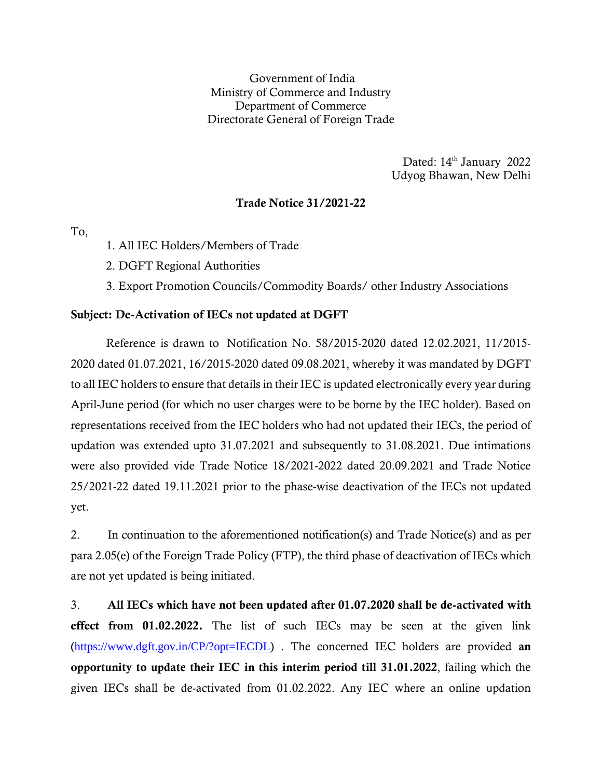Government of India Ministry of Commerce and Industry Department of Commerce Directorate General of Foreign Trade

> Dated: 14th January 2022 Udyog Bhawan, New Delhi

## Trade Notice 31/2021-22

To,

- 1. All IEC Holders/Members of Trade
- 2. DGFT Regional Authorities
- 3. Export Promotion Councils/Commodity Boards/ other Industry Associations

## Subject: De-Activation of IECs not updated at DGFT

Reference is drawn to Notification No. 58/2015-2020 dated 12.02.2021, 11/2015- 2020 dated 01.07.2021, 16/2015-2020 dated 09.08.2021, whereby it was mandated by DGFT to all IEC holders to ensure that details in their IEC is updated electronically every year during April-June period (for which no user charges were to be borne by the IEC holder). Based on representations received from the IEC holders who had not updated their IECs, the period of updation was extended upto 31.07.2021 and subsequently to 31.08.2021. Due intimations were also provided vide Trade Notice 18/2021-2022 dated 20.09.2021 and Trade Notice 25/2021-22 dated 19.11.2021 prior to the phase-wise deactivation of the IECs not updated yet.

2. In continuation to the aforementioned notification(s) and Trade Notice(s) and as per para 2.05(e) of the Foreign Trade Policy (FTP), the third phase of deactivation of IECs which are not yet updated is being initiated.

3. All IECs which have not been updated after 01.07.2020 shall be de-activated with effect from 01.02.2022. The list of such IECs may be seen at the given link (<https://www.dgft.gov.in/CP/?opt=IECDL>). The concerned IEC holders are provided an opportunity to update their IEC in this interim period till 31.01.2022, failing which the given IECs shall be de-activated from 01.02.2022. Any IEC where an online updation